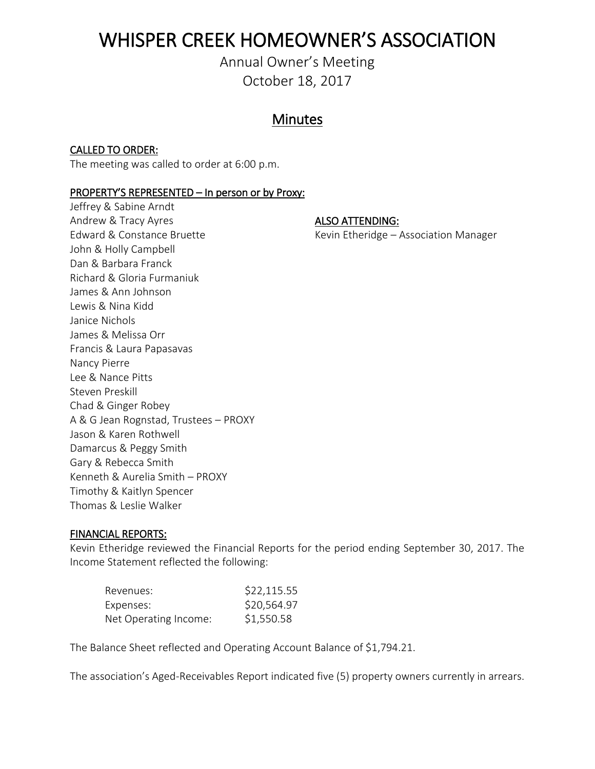# WHISPER CREEK HOMEOWNER'S ASSOCIATION

Annual Owner's Meeting October 18, 2017

## **Minutes**

### CALLED TO ORDER:

The meeting was called to order at 6:00 p.m.

### PROPERTY'S REPRESENTED – In person or by Proxy:

Jeffrey & Sabine Arndt Andrew & Tracy Ayres ALSO ATTENDING: Edward & Constance Bruette Kevin Etheridge – Association Manager John & Holly Campbell Dan & Barbara Franck Richard & Gloria Furmaniuk James & Ann Johnson Lewis & Nina Kidd Janice Nichols James & Melissa Orr Francis & Laura Papasavas Nancy Pierre Lee & Nance Pitts Steven Preskill Chad & Ginger Robey A & G Jean Rognstad, Trustees – PROXY Jason & Karen Rothwell Damarcus & Peggy Smith Gary & Rebecca Smith Kenneth & Aurelia Smith – PROXY Timothy & Kaitlyn Spencer Thomas & Leslie Walker

### FINANCIAL REPORTS:

Kevin Etheridge reviewed the Financial Reports for the period ending September 30, 2017. The Income Statement reflected the following:

| Revenues:             | \$22,115.55 |
|-----------------------|-------------|
| Expenses:             | \$20,564.97 |
| Net Operating Income: | \$1,550.58  |

The Balance Sheet reflected and Operating Account Balance of \$1,794.21.

The association's Aged-Receivables Report indicated five (5) property owners currently in arrears.